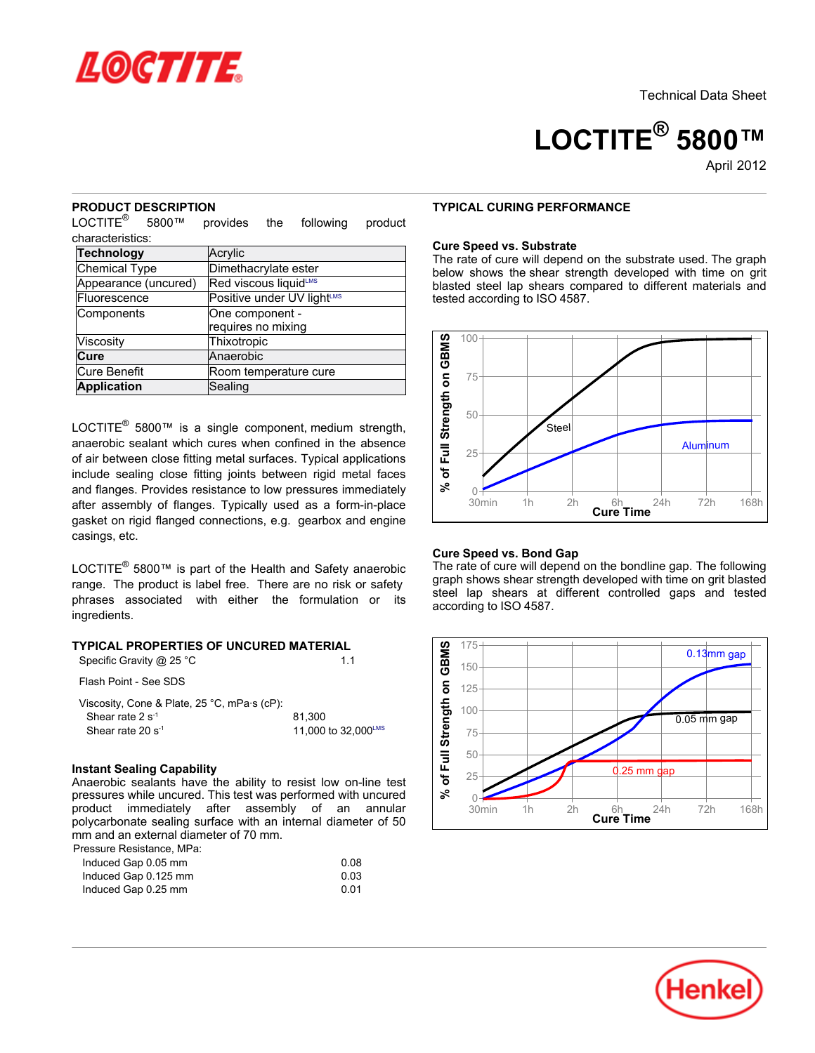

# **LOCTITE® 5800™**

April-2012

#### **PRODUCT DESCRIPTION**

 $LOCTITE<sup>®</sup>$  5800™ provides the following product characteristics:

| <b>Technology</b>    | Acrylic                                |  |
|----------------------|----------------------------------------|--|
| <b>Chemical Type</b> | Dimethacrylate ester                   |  |
| Appearance (uncured) | Red viscous liquidLMS                  |  |
| Fluorescence         | Positive under UV light <sup>LMS</sup> |  |
| Components           | One component -                        |  |
|                      | requires no mixing                     |  |
| Viscosity            | Thixotropic                            |  |
| Cure                 | Anaerobic                              |  |
| Cure Benefit         | Room temperature cure                  |  |
| <b>Application</b>   | Sealing                                |  |

LOCTITE<sup>®</sup> 5800™ is a single component, medium strength, anaerobic sealant which cures when confined in the absence of air between close fitting metal surfaces. Typical applications include sealing close fitting joints between rigid metal faces and flanges. Provides resistance to low pressures immediately after assembly of flanges. Typically used as a form-in-place gasket on rigid flanged connections, e.g. gearbox and engine casings, etc.

LOCTITE® 5800™ is part of the Health and Safety anaerobic range. The product is label free. There are no risk or safety phrases associated with either the formulation or its ingredients.

# **TYPICAL PROPERTIES OF UNCURED MATERIAL**

| Specific Gravity @ 25 °C | 1.1 |
|--------------------------|-----|
| Flash Point - See SDS    |     |

| Viscosity, Cone & Plate, 25 °C, mPa s (cP): |                     |
|---------------------------------------------|---------------------|
| Shear rate $2 s^{-1}$                       | 81.300              |
| Shear rate 20 $s^{-1}$                      | 11,000 to 32,000LMS |

#### **Instant Sealing Capability**

Anaerobic sealants have the ability to resist low on-line test pressures while uncured. This test was performed with uncured product immediately after assembly of an annular polycarbonate sealing surface with an internal diameter of 50 mm and an external diameter of 70 mm. Pressure Resistance, MPa:

| Thussaic Resistance, in a |      |
|---------------------------|------|
| Induced Gap 0.05 mm       | 0.08 |

| madood Odp 0.00 mm   | v.vv |
|----------------------|------|
| Induced Gap 0.125 mm | 0.03 |
| Induced Gap 0.25 mm  | 0.01 |
|                      |      |

## **TYPICAL CURING PERFORMANCE**

#### **Cure Speed vs. Substrate**

The rate of cure will depend on the substrate used. The graph below shows the shear strength developed with time on grit blasted steel lap shears compared to different materials and tested according to ISO 4587.



#### **Cure Speed vs. Bond Gap**

The rate of cure will depend on the bondline gap. The following graph shows shear strength developed with time on grit blasted steel lap shears at different controlled gaps and tested according to ISO 4587.



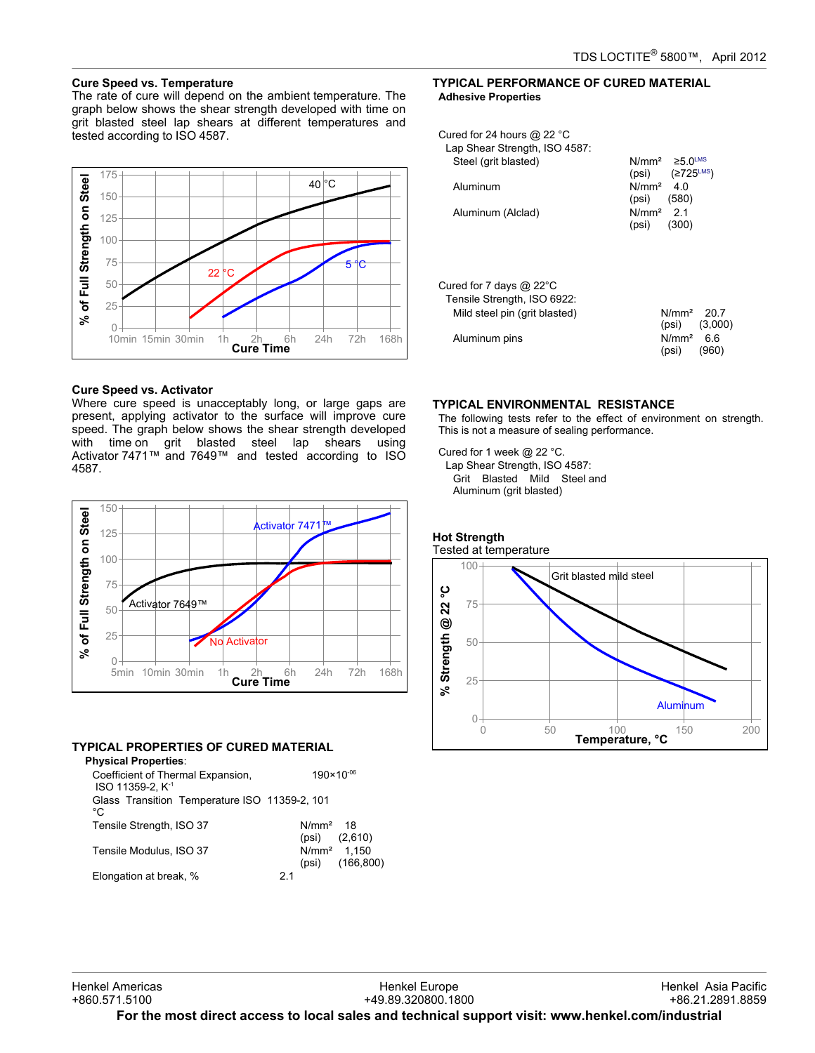# **Cure Speed vs. Temperature**

The rate of cure will depend on the ambient temperature. The graph below shows the shear strength developed with time on grit blasted steel lap shears at different temperatures and tested according to ISO 4587.



# **Cure Speed vs. Activator**

Where cure speed is unacceptably long, or large gaps are present, applying activator to the surface will improve cure speed. The graph below shows the shear strength developed with time on grit blasted steel lap shears using Activator 7471™ and 7649™ and tested according to ISO 4587.



## **TYPICAL PROPERTIES OF CURED MATERIAL**

| FIGAL FINOFLINTILO OF GONLD MATLINAL                              |    |                       |                             |
|-------------------------------------------------------------------|----|-----------------------|-----------------------------|
| <b>Physical Properties:</b>                                       |    |                       |                             |
| Coefficient of Thermal Expansion,<br>ISO 11359-2. K <sup>-1</sup> |    | $190 \times 10^{-06}$ |                             |
| Glass Transition Temperature ISO 11359-2, 101<br>°C               |    |                       |                             |
| Tensile Strength, ISO 37                                          |    | N/mm <sup>2</sup> 18  | $(psi)$ $(2,610)$           |
| Tensile Modulus, ISO 37                                           |    | (psi)                 | $N/mm^2$ 1.150<br>(166.800) |
| Elongation at break, %                                            | 21 |                       |                             |

# **TYPICAL PERFORMANCE OF CURED MATERIAL Adhesive Properties**

| Cured for 24 hours @ 22 °C<br>Lap Shear Strength, ISO 4587: |                                                                |
|-------------------------------------------------------------|----------------------------------------------------------------|
| Steel (grit blasted)                                        | $N/mm^2 \ge 5.0$ <sup>LMS</sup><br>(psi) $(2725^{\text{LMS}})$ |
| Aluminum                                                    | N/mm <sup>2</sup> 40<br>$(psi)$ (580)                          |
| Aluminum (Alclad)                                           | $N/mm2$ 21<br>$(psi)$ (300)                                    |
| Cured for 7 days @ 22°C<br>Tensile Strength, ISO 6922:      |                                                                |
| Mild steel pin (grit blasted)                               | $N/mm^2$ 20.7<br>$(psi)$ $(3,000)$                             |
| Aluminum pins                                               | $N/mm2$ 6.6<br>(960)<br>(psi)                                  |

# **TYPICAL ENVIRONMENTAL RESISTANCE**

The following tests refer to the effect of environment on strength. This is not a measure of sealing performance.

Cured for 1 week @ 22 °C.

Lap Shear Strength, ISO 4587: Grit Blasted Mild Steel and Aluminum (grit blasted)

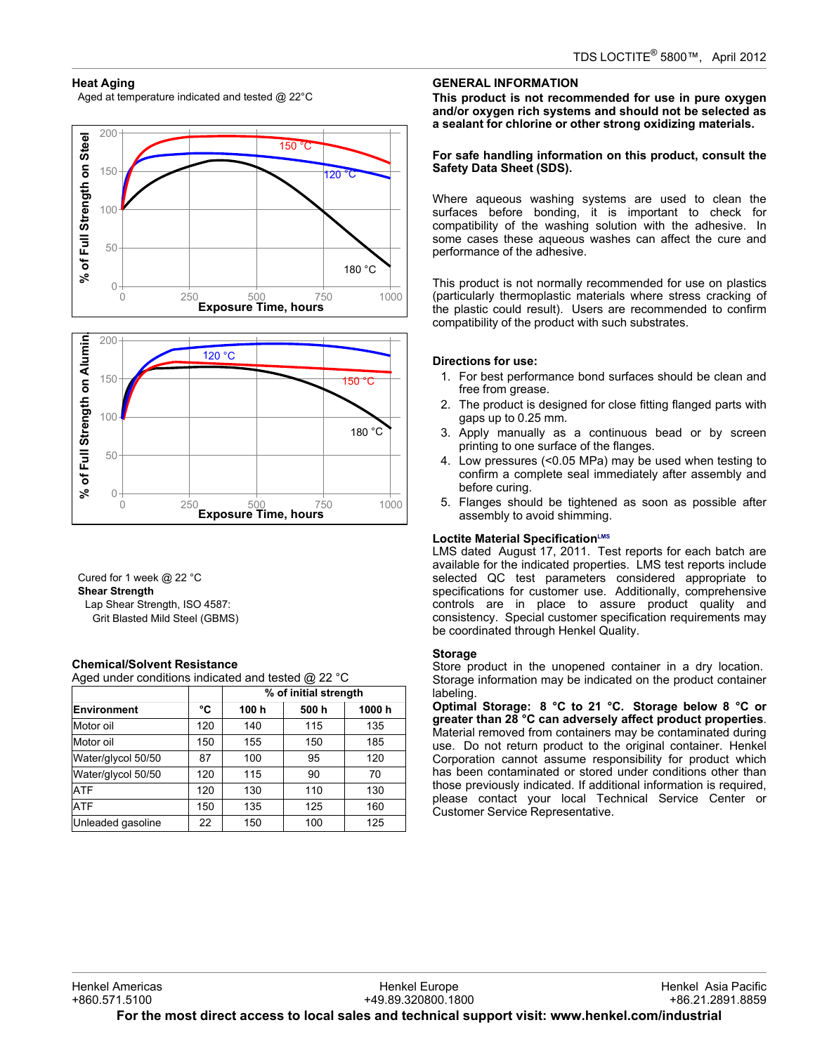# **Heat Aging**

Aged at temperature indicated and tested @ 22°C





Cured for 1 week @ 22 °C **Shear Strength** Lap Shear Strength, ISO 4587: Grit Blasted Mild Steel (GBMS)

## **Chemical/Solvent Resistance**

Aged under conditions indicated and tested @ 22 °C

|                    |     | % of initial strength |       |       |
|--------------------|-----|-----------------------|-------|-------|
| <b>Environment</b> | °C  | 100 h                 | 500 h | 1000h |
| Motor oil          | 120 | 140                   | 115   | 135   |
| Motor oil          | 150 | 155                   | 150   | 185   |
| Water/glycol 50/50 | 87  | 100                   | 95    | 120   |
| Water/glycol 50/50 | 120 | 115                   | 90    | 70    |
| <b>ATF</b>         | 120 | 130                   | 110   | 130   |
| <b>ATF</b>         | 150 | 135                   | 125   | 160   |
| Unleaded gasoline  | 22  | 150                   | 100   | 125   |

# **GENERAL INFORMATION**

**This product is not recommended for use in pure oxygen and/or oxygen rich systems and should not be selected as a sealant for chlorine or other strong oxidizing materials.**

## **For safe handling information on this product, consult the Safety Data Sheet (SDS).**

Where aqueous washing systems are used to clean the surfaces before bonding, it is important to check for compatibility of the washing solution with the adhesive. In some cases these aqueous washes can affect the cure and performance of the adhesive.

This product is not normally recommended for use on plastics (particularly thermoplastic materials where stress cracking of the plastic could result). Users are recommended to confirm compatibility of the product with such substrates.

# **Directions for use:**

- 1. For best performance bond surfaces should be clean and free from grease.
- 2. The product is designed for close fitting flanged parts with gaps up to 0.25 mm.
- 3. Apply manually as a continuous bead or by screen printing to one surface of the flanges.
- 4. Low pressures (<0.05 MPa) may be used when testing to confirm a complete seal immediately after assembly and before curing.
- 5. Flanges should be tightened as soon as possible after assembly to avoid shimming.

## **Loctite Material SpecificationLMS**

LMS dated August 17, 2011. Test reports for each batch are available for the indicated properties. LMS test reports include selected QC test parameters considered appropriate to specifications for customer use. Additionally, comprehensive controls are in place to assure product quality and consistency. Special customer specification requirements may be coordinated through Henkel Quality.

# **Storage**

Store product in the unopened container in a dry location. Storage information may be indicated on the product container labeling.

**Optimal Storage: 8 °C to 21 °C. Storage below 8 °C or greater than 28 °C can adversely affect product properties**. Material removed from containers may be contaminated during use. Do not return product to the original container. Henkel Corporation cannot assume responsibility for product which has been contaminated or stored under conditions other than those previously indicated. If additional information is required, please contact your local Technical Service Center or Customer Service Representative.